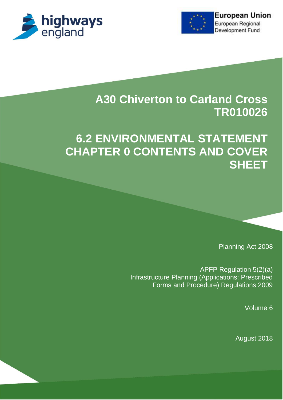



# **A30 Chiverton to Carland Cross TR010026**

# **6.2 ENVIRONMENTAL STATEMENT CHAPTER 0 CONTENTS AND COVER SHEET**

Planning Act 2008

APFP Regulation 5(2)(a) Infrastructure Planning (Applications: Prescribed Forms and Procedure) Regulations 2009

Volume 6

August 2018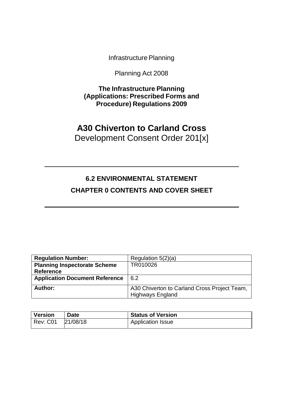Infrastructure Planning

Planning Act 2008

**The Infrastructure Planning (Applications: Prescribed Forms and Procedure) Regulations 2009**

## **A30 Chiverton to Carland Cross** Development Consent Order 201[x]

## **6.2 ENVIRONMENTAL STATEMENT CHAPTER 0 CONTENTS AND COVER SHEET**

| <b>Regulation Number:</b>             | Regulation $5(2)(a)$                                                    |
|---------------------------------------|-------------------------------------------------------------------------|
| <b>Planning Inspectorate Scheme</b>   | TR010026                                                                |
| <b>Reference</b>                      |                                                                         |
| <b>Application Document Reference</b> | 6.2                                                                     |
| Author:                               | A30 Chiverton to Carland Cross Project Team,<br><b>Highways England</b> |

| <b>Version</b> | Date     | <b>Status of Version</b> |
|----------------|----------|--------------------------|
| Rev: C01       | 21/08/18 | <b>Application Issue</b> |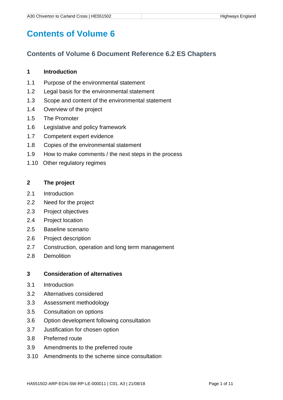# **Contents of Volume 6**

### **Contents of Volume 6 Document Reference 6.2 ES Chapters**

#### **1 Introduction**

- 1.1 Purpose of the environmental statement
- 1.2 Legal basis for the environmental statement
- 1.3 Scope and content of the environmental statement
- 1.4 Overview of the project
- 1.5 The Promoter
- 1.6 Legislative and policy framework
- 1.7 Competent expert evidence
- 1.8 Copies of the environmental statement
- 1.9 How to make comments / the next steps in the process
- 1.10 Other regulatory regimes

#### **2 The project**

- 2.1 Introduction
- 2.2 Need for the project
- 2.3 Project objectives
- 2.4 Project location
- 2.5 Baseline scenario
- 2.6 Project description
- 2.7 Construction, operation and long term management
- 2.8 Demolition

#### **3 Consideration of alternatives**

- 3.1 Introduction
- 3.2 Alternatives considered
- 3.3 Assessment methodology
- 3.5 Consultation on options
- 3.6 Option development following consultation
- 3.7 Justification for chosen option
- 3.8 Preferred route
- 3.9 Amendments to the preferred route
- 3.10 Amendments to the scheme since consultation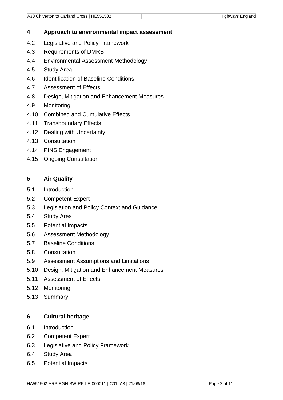#### **4 Approach to environmental impact assessment**

- 4.2 Legislative and Policy Framework
- 4.3 Requirements of DMRB
- 4.4 Environmental Assessment Methodology
- 4.5 Study Area
- 4.6 Identification of Baseline Conditions
- 4.7 Assessment of Effects
- 4.8 Design, Mitigation and Enhancement Measures
- 4.9 Monitoring
- 4.10 Combined and Cumulative Effects
- 4.11 Transboundary Effects
- 4.12 Dealing with Uncertainty
- 4.13 Consultation
- 4.14 PINS Engagement
- 4.15 Ongoing Consultation

#### **5 Air Quality**

- 5.1 Introduction
- 5.2 Competent Expert
- 5.3 Legislation and Policy Context and Guidance
- 5.4 Study Area
- 5.5 Potential Impacts
- 5.6 Assessment Methodology
- 5.7 Baseline Conditions
- 5.8 Consultation
- 5.9 Assessment Assumptions and Limitations
- 5.10 Design, Mitigation and Enhancement Measures
- 5.11 Assessment of Effects
- 5.12 Monitoring
- 5.13 Summary

#### **6 Cultural heritage**

- 6.1 Introduction
- 6.2 Competent Expert
- 6.3 Legislative and Policy Framework
- 6.4 Study Area
- 6.5 Potential Impacts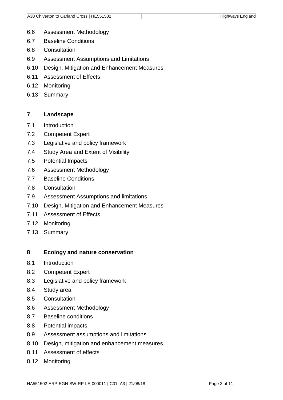- 6.6 Assessment Methodology
- 6.7 Baseline Conditions
- 6.8 Consultation
- 6.9 Assessment Assumptions and Limitations
- 6.10 Design, Mitigation and Enhancement Measures
- 6.11 Assessment of Effects
- 6.12 Monitoring
- 6.13 Summary

#### **7 Landscape**

- 7.1 Introduction
- 7.2 Competent Expert
- 7.3 Legislative and policy framework
- 7.4 Study Area and Extent of Visibility
- 7.5 Potential Impacts
- 7.6 Assessment Methodology
- 7.7 Baseline Conditions
- 7.8 Consultation
- 7.9 Assessment Assumptions and limitations
- 7.10 Design, Mitigation and Enhancement Measures
- 7.11 Assessment of Effects
- 7.12 Monitoring
- 7.13 Summary

#### **8 Ecology and nature conservation**

- 8.1 Introduction
- 8.2 Competent Expert
- 8.3 Legislative and policy framework
- 8.4 Study area
- 8.5 Consultation
- 8.6 Assessment Methodology
- 8.7 Baseline conditions
- 8.8 Potential impacts
- 8.9 Assessment assumptions and limitations
- 8.10 Design, mitigation and enhancement measures
- 8.11 Assessment of effects
- 8.12 Monitoring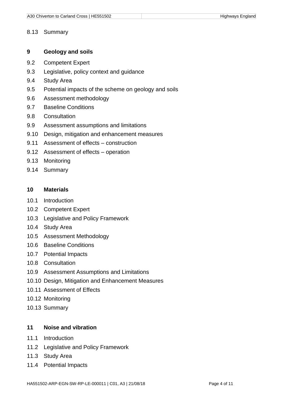#### 8.13 Summary

#### **9 Geology and soils**

- 9.2 Competent Expert
- 9.3 Legislative, policy context and guidance
- 9.4 Study Area
- 9.5 Potential impacts of the scheme on geology and soils
- 9.6 Assessment methodology
- 9.7 Baseline Conditions
- 9.8 Consultation
- 9.9 Assessment assumptions and limitations
- 9.10 Design, mitigation and enhancement measures
- 9.11 Assessment of effects construction
- 9.12 Assessment of effects operation
- 9.13 Monitoring
- 9.14 Summary

#### **10 Materials**

- 10.1 Introduction
- 10.2 Competent Expert
- 10.3 Legislative and Policy Framework
- 10.4 Study Area
- 10.5 Assessment Methodology
- 10.6 Baseline Conditions
- 10.7 Potential Impacts
- 10.8 Consultation
- 10.9 Assessment Assumptions and Limitations
- 10.10 Design, Mitigation and Enhancement Measures
- 10.11 Assessment of Effects
- 10.12 Monitoring
- 10.13 Summary

#### **11 Noise and vibration**

- 11.1 Introduction
- 11.2 Legislative and Policy Framework
- 11.3 Study Area
- 11.4 Potential Impacts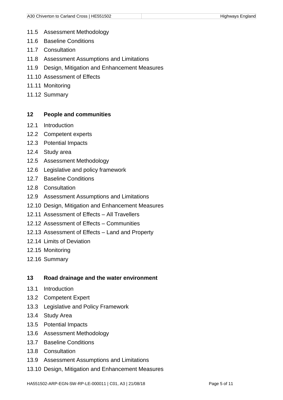- 11.5 Assessment Methodology
- 11.6 Baseline Conditions
- 11.7 Consultation
- 11.8 Assessment Assumptions and Limitations
- 11.9 Design, Mitigation and Enhancement Measures
- 11.10 Assessment of Effects
- 11.11 Monitoring
- 11.12 Summary

#### **12 People and communities**

- 12.1 Introduction
- 12.2 Competent experts
- 12.3 Potential Impacts
- 12.4 Study area
- 12.5 Assessment Methodology
- 12.6 Legislative and policy framework
- 12.7 Baseline Conditions
- 12.8 Consultation
- 12.9 Assessment Assumptions and Limitations
- 12.10 Design, Mitigation and Enhancement Measures
- 12.11 Assessment of Effects All Travellers
- 12.12 Assessment of Effects Communities
- 12.13 Assessment of Effects Land and Property
- 12.14 Limits of Deviation
- 12.15 Monitoring
- 12.16 Summary

#### **13 Road drainage and the water environment**

- 13.1 Introduction
- 13.2 Competent Expert
- 13.3 Legislative and Policy Framework
- 13.4 Study Area
- 13.5 Potential Impacts
- 13.6 Assessment Methodology
- 13.7 Baseline Conditions
- 13.8 Consultation
- 13.9 Assessment Assumptions and Limitations
- 13.10 Design, Mitigation and Enhancement Measures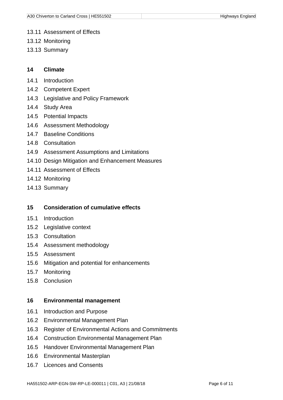- 13.11 Assessment of Effects
- 13.12 Monitoring
- 13.13 Summary

#### **14 Climate**

- 14.1 Introduction
- 14.2 Competent Expert
- 14.3 Legislative and Policy Framework
- 14.4 Study Area
- 14.5 Potential Impacts
- 14.6 Assessment Methodology
- 14.7 Baseline Conditions
- 14.8 Consultation
- 14.9 Assessment Assumptions and Limitations
- 14.10 Design Mitigation and Enhancement Measures
- 14.11 Assessment of Effects
- 14.12 Monitoring
- 14.13 Summary

#### **15 Consideration of cumulative effects**

- 15.1 Introduction
- 15.2 Legislative context
- 15.3 Consultation
- 15.4 Assessment methodology
- 15.5 Assessment
- 15.6 Mitigation and potential for enhancements
- 15.7 Monitoring
- 15.8 Conclusion

#### **16 Environmental management**

- 16.1 Introduction and Purpose
- 16.2 Environmental Management Plan
- 16.3 Register of Environmental Actions and Commitments
- 16.4 Construction Environmental Management Plan
- 16.5 Handover Environmental Management Plan
- 16.6 Environmental Masterplan
- 16.7 Licences and Consents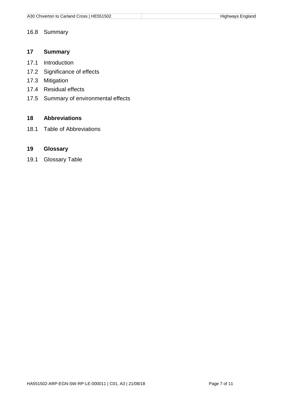#### 16.8 Summary

#### **17 Summary**

- 17.1 Introduction
- 17.2 Significance of effects
- 17.3 Mitigation
- 17.4 Residual effects
- 17.5 Summary of environmental effects

#### **18 Abbreviations**

18.1 Table of Abbreviations

#### **19 Glossary**

19.1 Glossary Table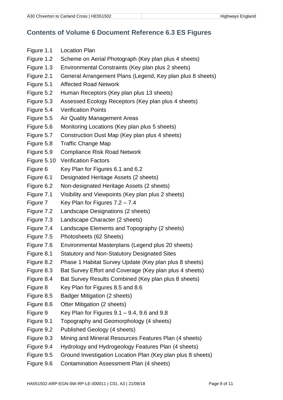### **Contents of Volume 6 Document Reference 6.3 ES Figures**

- Figure 1.1 Location Plan
- Figure 1.2 Scheme on Aerial Photograph (Key plan plus 4 sheets)
- Figure 1.3 Environmental Constraints (Key plan plus 2 sheets)
- Figure 2.1 General Arrangement Plans (Legend, Key plan plus 8 sheets)
- Figure 5.1 Affected Road Network
- Figure 5.2 Human Receptors (Key plan plus 13 sheets)
- Figure 5.3 Assessed Ecology Receptors (Key plan plus 4 sheets)
- Figure 5.4 Verification Points
- Figure 5.5 Air Quality Management Areas
- Figure 5.6 Monitoring Locations (Key plan plus 5 sheets)
- Figure 5.7 Construction Dust Map (Key plan plus 4 sheets)
- Figure 5.8 Traffic Change Map
- Figure 5.9 Compliance Risk Road Network
- Figure 5.10 Verification Factors
- Figure 6 Key Plan for Figures 6.1 and 6.2
- Figure 6.1 Designated Heritage Assets (2 sheets)
- Figure 6.2 Non-designated Heritage Assets (2 sheets)
- Figure 7.1 Visibility and Viewpoints (Key plan plus 2 sheets)
- Figure 7 Key Plan for Figures 7.2 7.4
- Figure 7.2 Landscape Designations (2 sheets)
- Figure 7.3 Landscape Character (2 sheets)
- Figure 7.4 Landscape Elements and Topography (2 sheets)
- Figure 7.5 Photosheets (62 Sheets)
- Figure 7.6 Environmental Masterplans (Legend plus 20 sheets)
- Figure 8.1 Statutory and Non-Statutory Designated Sites
- Figure 8.2 Phase 1 Habitat Survey Update (Key plan plus 8 sheets)
- Figure 8.3 Bat Survey Effort and Coverage (Key plan plus 4 sheets)
- Figure 8.4 Bat Survey Results Combined (Key plan plus 8 sheets)
- Figure 8 Key Plan for Figures 8.5 and 8.6
- Figure 8.5 Badger Mitigation (2 sheets)
- Figure 8.6 Otter Mitigation (2 sheets)
- Figure 9 Key Plan for Figures  $9.1 9.4$ ,  $9.6$  and  $9.8$
- Figure 9.1 Topography and Geomorphology (4 sheets)
- Figure 9.2 Published Geology (4 sheets)
- Figure 9.3 Mining and Mineral Resources Features Plan (4 sheets)
- Figure 9.4 Hydrology and Hydrogeology Features Plan (4 sheets)
- Figure 9.5 Ground Investigation Location Plan (Key plan plus 8 sheets)
- Figure 9.6 Contamination Assessment Plan (4 sheets)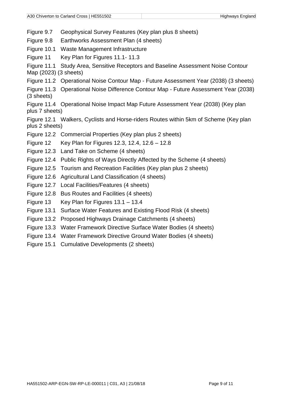Figure 9.7 Geophysical Survey Features (Key plan plus 8 sheets)

Figure 9.8 Earthworks Assessment Plan (4 sheets)

Figure 10.1 Waste Management Infrastructure

Figure 11 Key Plan for Figures 11.1- 11.3

Figure 11.1 Study Area, Sensitive Receptors and Baseline Assessment Noise Contour Map (2023) (3 sheets)

Figure 11.2 Operational Noise Contour Map - Future Assessment Year (2038) (3 sheets)

Figure 11.3 Operational Noise Difference Contour Map - Future Assessment Year (2038) (3 sheets)

Figure 11.4 Operational Noise Impact Map Future Assessment Year (2038) (Key plan plus 7 sheets)

Figure 12.1 Walkers, Cyclists and Horse-riders Routes within 5km of Scheme (Key plan plus 2 sheets)

Figure 12.2 Commercial Properties (Key plan plus 2 sheets)

Figure 12 Key Plan for Figures 12.3, 12.4, 12.6 – 12.8

- Figure 12.3 Land Take on Scheme (4 sheets)
- Figure 12.4 Public Rights of Ways Directly Affected by the Scheme (4 sheets)
- Figure 12.5 Tourism and Recreation Facilities (Key plan plus 2 sheets)
- Figure 12.6 Agricultural Land Classification (4 sheets)
- Figure 12.7 Local Facilities/Features (4 sheets)
- Figure 12.8 Bus Routes and Facilities (4 sheets)
- Figure 13 Key Plan for Figures 13.1 13.4
- Figure 13.1 Surface Water Features and Existing Flood Risk (4 sheets)
- Figure 13.2 Proposed Highways Drainage Catchments (4 sheets)
- Figure 13.3 Water Framework Directive Surface Water Bodies (4 sheets)
- Figure 13.4 Water Framework Directive Ground Water Bodies (4 sheets)
- Figure 15.1 Cumulative Developments (2 sheets)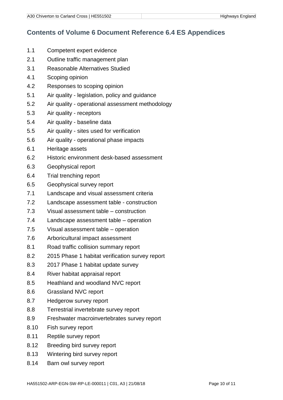### **Contents of Volume 6 Document Reference 6.4 ES Appendices**

- 1.1 Competent expert evidence
- 2.1 Outline traffic management plan
- 3.1 Reasonable Alternatives Studied
- 4.1 Scoping opinion
- 4.2 Responses to scoping opinion
- 5.1 Air quality legislation, policy and guidance
- 5.2 Air quality operational assessment methodology
- 5.3 Air quality receptors
- 5.4 Air quality baseline data
- 5.5 Air quality sites used for verification
- 5.6 Air quality operational phase impacts
- 6.1 Heritage assets
- 6.2 Historic environment desk-based assessment
- 6.3 Geophysical report
- 6.4 Trial trenching report
- 6.5 Geophysical survey report
- 7.1 Landscape and visual assessment criteria
- 7.2 Landscape assessment table construction
- 7.3 Visual assessment table construction
- 7.4 Landscape assessment table operation
- 7.5 Visual assessment table operation
- 7.6 Arboricultural impact assessment
- 8.1 Road traffic collision summary report
- 8.2 2015 Phase 1 habitat verification survey report
- 8.3 2017 Phase 1 habitat update survey
- 8.4 River habitat appraisal report
- 8.5 Heathland and woodland NVC report
- 8.6 Grassland NVC report
- 8.7 Hedgerow survey report
- 8.8 Terrestrial invertebrate survey report
- 8.9 Freshwater macroinvertebrates survey report
- 8.10 Fish survey report
- 8.11 Reptile survey report
- 8.12 Breeding bird survey report
- 8.13 Wintering bird survey report
- 8.14 Barn owl survey report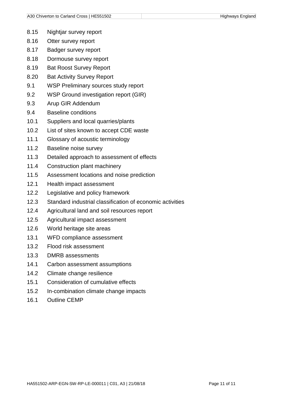- 8.15 Nightjar survey report
- 8.16 Otter survey report
- 8.17 Badger survey report
- 8.18 Dormouse survey report
- 8.19 Bat Roost Survey Report
- 8.20 Bat Activity Survey Report
- 9.1 WSP Preliminary sources study report
- 9.2 WSP Ground investigation report (GIR)
- 9.3 Arup GIR Addendum
- 9.4 Baseline conditions
- 10.1 Suppliers and local quarries/plants
- 10.2 List of sites known to accept CDE waste
- 11.1 Glossary of acoustic terminology
- 11.2 Baseline noise survey
- 11.3 Detailed approach to assessment of effects
- 11.4 Construction plant machinery
- 11.5 Assessment locations and noise prediction
- 12.1 Health impact assessment
- 12.2 Legislative and policy framework
- 12.3 Standard industrial classification of economic activities
- 12.4 Agricultural land and soil resources report
- 12.5 Agricultural impact assessment
- 12.6 World heritage site areas
- 13.1 WFD compliance assessment
- 13.2 Flood risk assessment
- 13.3 DMRB assessments
- 14.1 Carbon assessment assumptions
- 14.2 Climate change resilience
- 15.1 Consideration of cumulative effects
- 15.2 In-combination climate change impacts
- 16.1 Outline CEMP